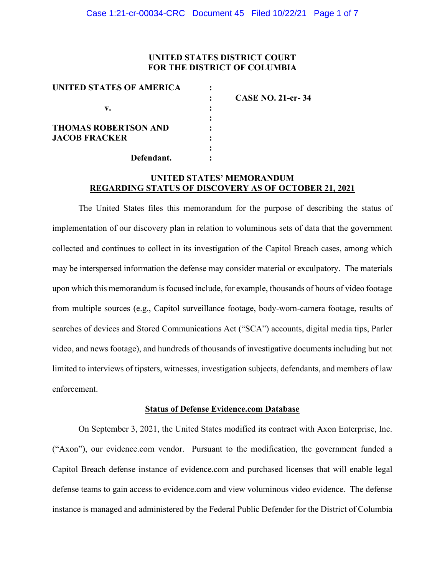## **UNITED STATES DISTRICT COURT FOR THE DISTRICT OF COLUMBIA**

| UNITED STATES OF AMERICA    |                          |
|-----------------------------|--------------------------|
|                             | <b>CASE NO. 21-cr-34</b> |
| v.                          |                          |
|                             |                          |
| <b>THOMAS ROBERTSON AND</b> |                          |
| <b>JACOB FRACKER</b>        |                          |
|                             |                          |
| Defendant.                  |                          |

### **UNITED STATES' MEMORANDUM REGARDING STATUS OF DISCOVERY AS OF OCTOBER 21, 2021**

The United States files this memorandum for the purpose of describing the status of implementation of our discovery plan in relation to voluminous sets of data that the government collected and continues to collect in its investigation of the Capitol Breach cases, among which may be interspersed information the defense may consider material or exculpatory. The materials upon which this memorandum is focused include, for example, thousands of hours of video footage from multiple sources (e.g., Capitol surveillance footage, body-worn-camera footage, results of searches of devices and Stored Communications Act ("SCA") accounts, digital media tips, Parler video, and news footage), and hundreds of thousands of investigative documents including but not limited to interviews of tipsters, witnesses, investigation subjects, defendants, and members of law enforcement.

#### **Status of Defense Evidence.com Database**

On September 3, 2021, the United States modified its contract with Axon Enterprise, Inc. ("Axon"), our evidence.com vendor. Pursuant to the modification, the government funded a Capitol Breach defense instance of evidence.com and purchased licenses that will enable legal defense teams to gain access to evidence.com and view voluminous video evidence. The defense instance is managed and administered by the Federal Public Defender for the District of Columbia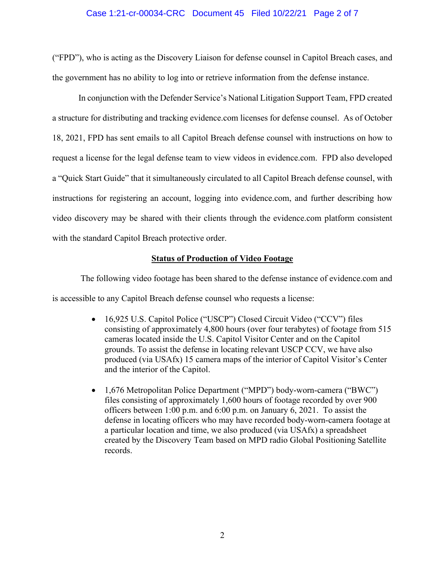## Case 1:21-cr-00034-CRC Document 45 Filed 10/22/21 Page 2 of 7

("FPD"), who is acting as the Discovery Liaison for defense counsel in Capitol Breach cases, and the government has no ability to log into or retrieve information from the defense instance.

In conjunction with the Defender Service's National Litigation Support Team, FPD created a structure for distributing and tracking evidence.com licenses for defense counsel. As of October 18, 2021, FPD has sent emails to all Capitol Breach defense counsel with instructions on how to request a license for the legal defense team to view videos in evidence.com. FPD also developed a "Quick Start Guide" that it simultaneously circulated to all Capitol Breach defense counsel, with instructions for registering an account, logging into evidence.com, and further describing how video discovery may be shared with their clients through the evidence.com platform consistent with the standard Capitol Breach protective order.

#### **Status of Production of Video Footage**

The following video footage has been shared to the defense instance of evidence.com and is accessible to any Capitol Breach defense counsel who requests a license:

- 16,925 U.S. Capitol Police ("USCP") Closed Circuit Video ("CCV") files consisting of approximately 4,800 hours (over four terabytes) of footage from 515 cameras located inside the U.S. Capitol Visitor Center and on the Capitol grounds. To assist the defense in locating relevant USCP CCV, we have also produced (via USAfx) 15 camera maps of the interior of Capitol Visitor's Center and the interior of the Capitol.
- 1,676 Metropolitan Police Department ("MPD") body-worn-camera ("BWC") files consisting of approximately 1,600 hours of footage recorded by over 900 officers between 1:00 p.m. and 6:00 p.m. on January 6, 2021. To assist the defense in locating officers who may have recorded body-worn-camera footage at a particular location and time, we also produced (via USAfx) a spreadsheet created by the Discovery Team based on MPD radio Global Positioning Satellite records.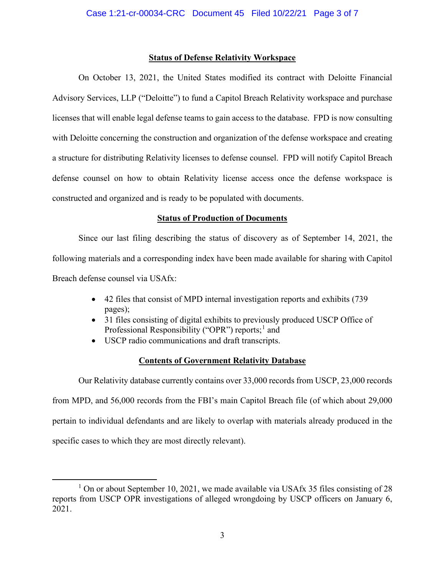## **Status of Defense Relativity Workspace**

On October 13, 2021, the United States modified its contract with Deloitte Financial Advisory Services, LLP ("Deloitte") to fund a Capitol Breach Relativity workspace and purchase licenses that will enable legal defense teams to gain access to the database. FPD is now consulting with Deloitte concerning the construction and organization of the defense workspace and creating a structure for distributing Relativity licenses to defense counsel. FPD will notify Capitol Breach defense counsel on how to obtain Relativity license access once the defense workspace is constructed and organized and is ready to be populated with documents.

## **Status of Production of Documents**

Since our last filing describing the status of discovery as of September 14, 2021, the following materials and a corresponding index have been made available for sharing with Capitol Breach defense counsel via USAfx:

- 42 files that consist of MPD internal investigation reports and exhibits (739 pages);
- 31 files consisting of digital exhibits to previously produced USCP Office of Professional Responsibility ("OPR") reports;<sup>1</sup> and
- USCP radio communications and draft transcripts.

## **Contents of Government Relativity Database**

Our Relativity database currently contains over 33,000 records from USCP, 23,000 records from MPD, and 56,000 records from the FBI's main Capitol Breach file (of which about 29,000 pertain to individual defendants and are likely to overlap with materials already produced in the specific cases to which they are most directly relevant).

 $1$  On or about September 10, 2021, we made available via USAfx 35 files consisting of 28 reports from USCP OPR investigations of alleged wrongdoing by USCP officers on January 6, 2021.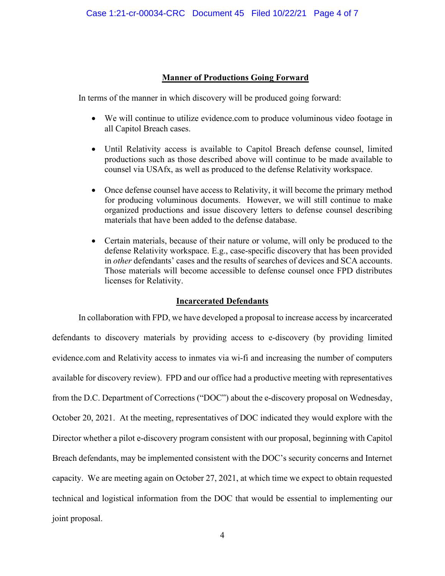# **Manner of Productions Going Forward**

In terms of the manner in which discovery will be produced going forward:

- We will continue to utilize evidence.com to produce voluminous video footage in all Capitol Breach cases.
- Until Relativity access is available to Capitol Breach defense counsel, limited productions such as those described above will continue to be made available to counsel via USAfx, as well as produced to the defense Relativity workspace.
- Once defense counsel have access to Relativity, it will become the primary method for producing voluminous documents. However, we will still continue to make organized productions and issue discovery letters to defense counsel describing materials that have been added to the defense database.
- Certain materials, because of their nature or volume, will only be produced to the defense Relativity workspace. E.g., case-specific discovery that has been provided in *other* defendants' cases and the results of searches of devices and SCA accounts. Those materials will become accessible to defense counsel once FPD distributes licenses for Relativity.

## **Incarcerated Defendants**

In collaboration with FPD, we have developed a proposal to increase access by incarcerated defendants to discovery materials by providing access to e-discovery (by providing limited evidence.com and Relativity access to inmates via wi-fi and increasing the number of computers available for discovery review). FPD and our office had a productive meeting with representatives from the D.C. Department of Corrections ("DOC") about the e-discovery proposal on Wednesday, October 20, 2021. At the meeting, representatives of DOC indicated they would explore with the Director whether a pilot e-discovery program consistent with our proposal, beginning with Capitol Breach defendants, may be implemented consistent with the DOC's security concerns and Internet capacity. We are meeting again on October 27, 2021, at which time we expect to obtain requested technical and logistical information from the DOC that would be essential to implementing our joint proposal.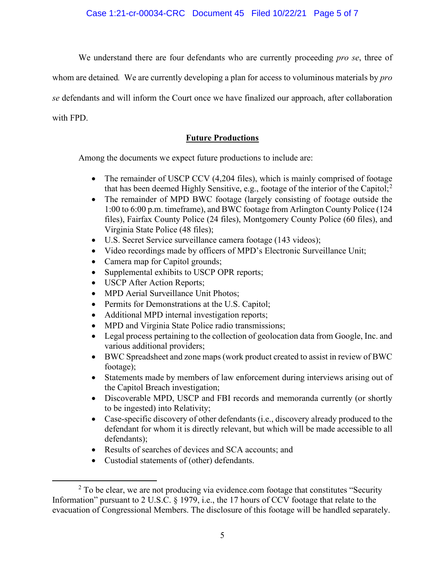We understand there are four defendants who are currently proceeding *pro se*, three of

whom are detained*.* We are currently developing a plan for access to voluminous materials by *pro* 

*se* defendants and will inform the Court once we have finalized our approach, after collaboration

with FPD.

# **Future Productions**

Among the documents we expect future productions to include are:

- The remainder of USCP CCV (4,204 files), which is mainly comprised of footage that has been deemed Highly Sensitive, e.g., footage of the interior of the Capitol;<sup>2</sup>
- The remainder of MPD BWC footage (largely consisting of footage outside the 1:00 to 6:00 p.m. timeframe), and BWC footage from Arlington County Police (124 files), Fairfax County Police (24 files), Montgomery County Police (60 files), and Virginia State Police (48 files);
- U.S. Secret Service surveillance camera footage (143 videos);
- Video recordings made by officers of MPD's Electronic Surveillance Unit;
- Camera map for Capitol grounds;
- Supplemental exhibits to USCP OPR reports;
- USCP After Action Reports;
- MPD Aerial Surveillance Unit Photos:
- Permits for Demonstrations at the U.S. Capitol;
- Additional MPD internal investigation reports;
- MPD and Virginia State Police radio transmissions;
- Legal process pertaining to the collection of geolocation data from Google, Inc. and various additional providers;
- BWC Spreadsheet and zone maps (work product created to assist in review of BWC footage);
- Statements made by members of law enforcement during interviews arising out of the Capitol Breach investigation;
- Discoverable MPD, USCP and FBI records and memoranda currently (or shortly to be ingested) into Relativity;
- Case-specific discovery of other defendants (i.e., discovery already produced to the defendant for whom it is directly relevant, but which will be made accessible to all defendants);
- Results of searches of devices and SCA accounts; and
- Custodial statements of (other) defendants.

 $2$  To be clear, we are not producing via evidence.com footage that constitutes "Security Information" pursuant to 2 U.S.C. § 1979, i.e., the 17 hours of CCV footage that relate to the evacuation of Congressional Members. The disclosure of this footage will be handled separately.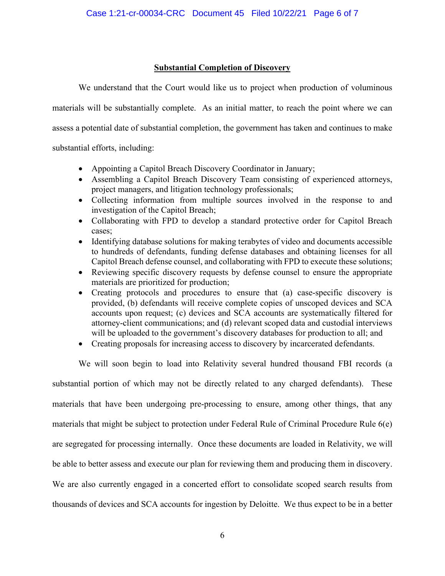# **Substantial Completion of Discovery**

We understand that the Court would like us to project when production of voluminous materials will be substantially complete. As an initial matter, to reach the point where we can assess a potential date of substantial completion, the government has taken and continues to make substantial efforts, including:

• Appointing a Capitol Breach Discovery Coordinator in January;

- Assembling a Capitol Breach Discovery Team consisting of experienced attorneys, project managers, and litigation technology professionals;
- Collecting information from multiple sources involved in the response to and investigation of the Capitol Breach;
- Collaborating with FPD to develop a standard protective order for Capitol Breach cases;
- Identifying database solutions for making terabytes of video and documents accessible to hundreds of defendants, funding defense databases and obtaining licenses for all Capitol Breach defense counsel, and collaborating with FPD to execute these solutions;
- Reviewing specific discovery requests by defense counsel to ensure the appropriate materials are prioritized for production;
- Creating protocols and procedures to ensure that (a) case-specific discovery is provided, (b) defendants will receive complete copies of unscoped devices and SCA accounts upon request; (c) devices and SCA accounts are systematically filtered for attorney-client communications; and (d) relevant scoped data and custodial interviews will be uploaded to the government's discovery databases for production to all; and
- Creating proposals for increasing access to discovery by incarcerated defendants.

We will soon begin to load into Relativity several hundred thousand FBI records (a

substantial portion of which may not be directly related to any charged defendants). These materials that have been undergoing pre-processing to ensure, among other things, that any materials that might be subject to protection under Federal Rule of Criminal Procedure Rule 6(e) are segregated for processing internally. Once these documents are loaded in Relativity, we will be able to better assess and execute our plan for reviewing them and producing them in discovery. We are also currently engaged in a concerted effort to consolidate scoped search results from thousands of devices and SCA accounts for ingestion by Deloitte. We thus expect to be in a better